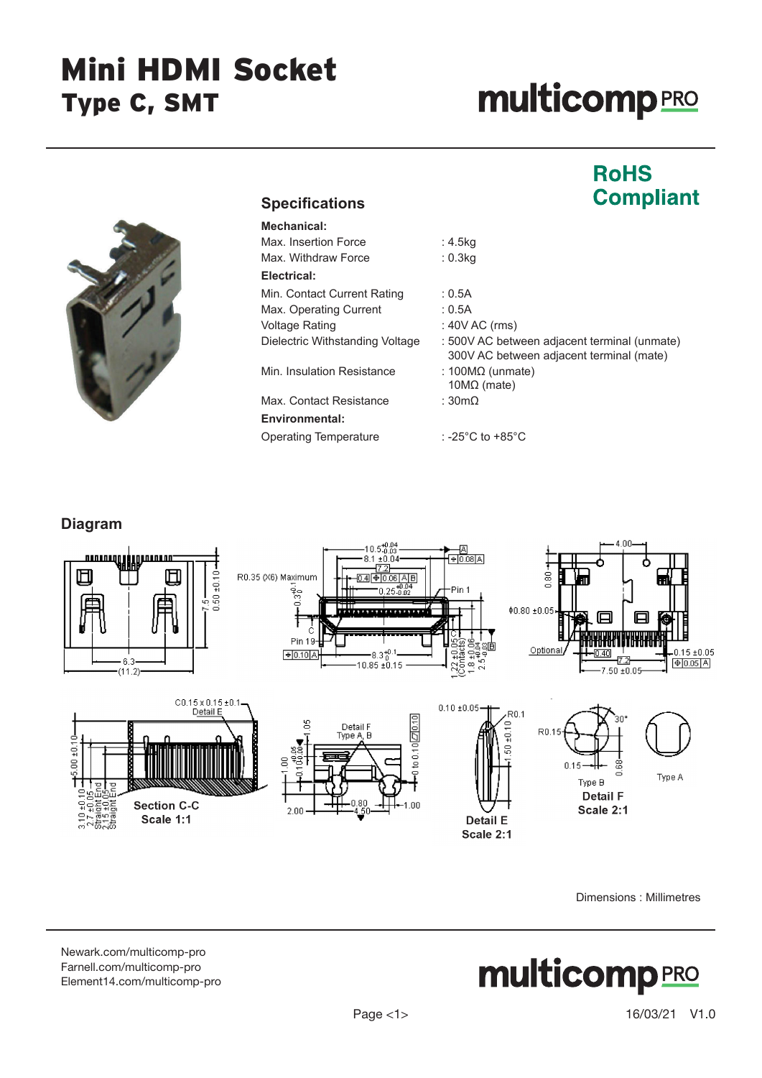### Mini HDMI Socket Type C, SMT

# **multicomp**PRO





### **Specifications**

| : 4.5kg                                                                                  |
|------------------------------------------------------------------------------------------|
| : 0.3kg                                                                                  |
|                                                                                          |
| : 0.5A                                                                                   |
| : 0.5A                                                                                   |
| $: 40V$ AC (rms)                                                                         |
| : 500V AC between adjacent terminal (unmate)<br>300V AC between adjacent terminal (mate) |
| : 100 $M\Omega$ (unmate)<br>10 $M\Omega$ (mate)                                          |
| : $30 \text{m}\Omega$                                                                    |
|                                                                                          |
| : -25 $^{\circ}$ C to +85 $^{\circ}$ C                                                   |
|                                                                                          |

#### **Diagram**



Dimensions : Millimetres

[Newark.com/multicomp-](https://www.newark.com/multicomp-pro)pro [Farnell.com/multicomp](https://www.farnell.com/multicomp-pro)-pro [Element14.com/multicomp-pro](https://element14.com/multicomp-pro)

## **multicomp**PRO